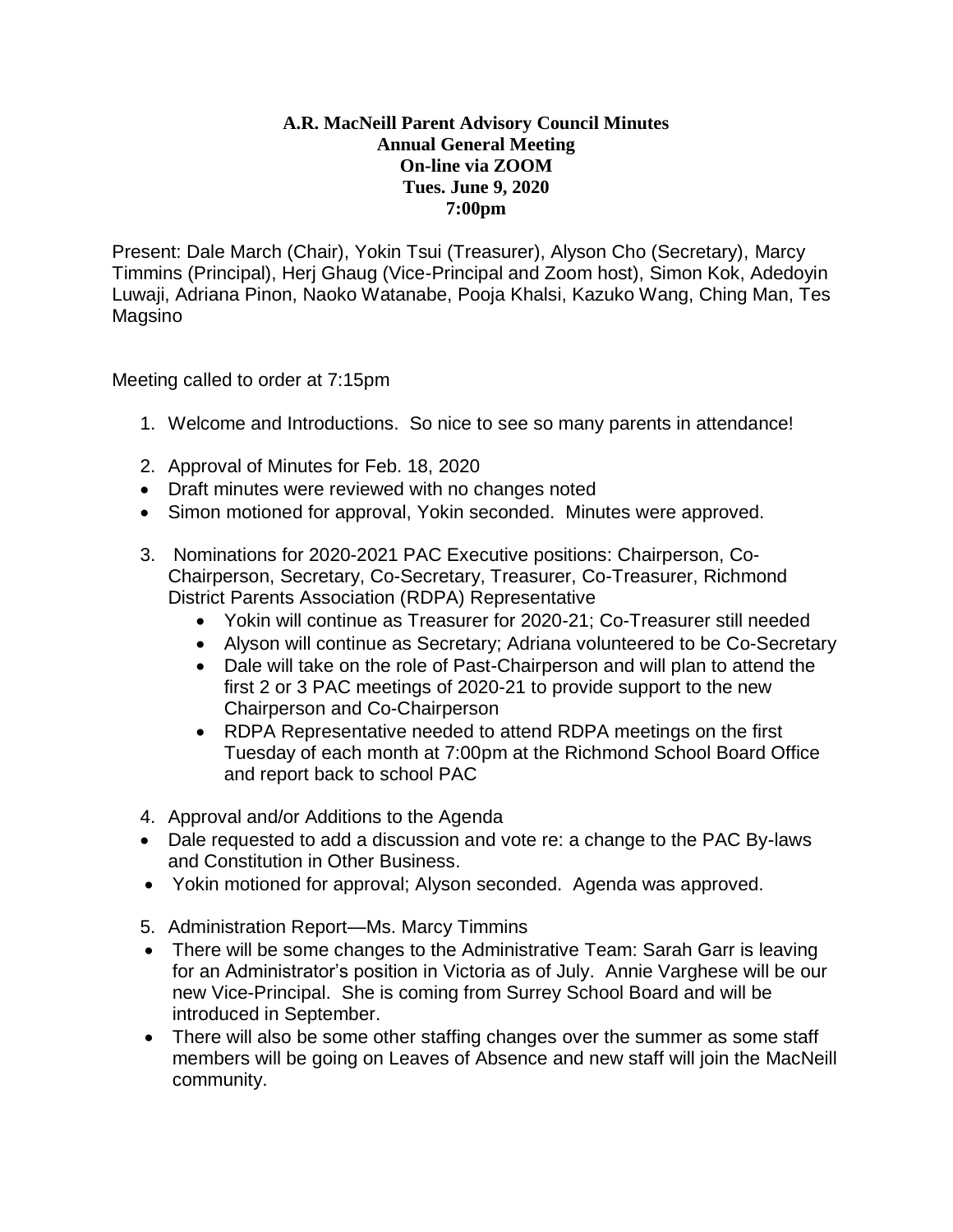## **A.R. MacNeill Parent Advisory Council Minutes Annual General Meeting On-line via ZOOM Tues. June 9, 2020 7:00pm**

Present: Dale March (Chair), Yokin Tsui (Treasurer), Alyson Cho (Secretary), Marcy Timmins (Principal), Herj Ghaug (Vice-Principal and Zoom host), Simon Kok, Adedoyin Luwaji, Adriana Pinon, Naoko Watanabe, Pooja Khalsi, Kazuko Wang, Ching Man, Tes Magsino

Meeting called to order at 7:15pm

- 1. Welcome and Introductions. So nice to see so many parents in attendance!
- 2. Approval of Minutes for Feb. 18, 2020
- Draft minutes were reviewed with no changes noted
- Simon motioned for approval, Yokin seconded. Minutes were approved.
- 3. Nominations for 2020-2021 PAC Executive positions: Chairperson, Co-Chairperson, Secretary, Co-Secretary, Treasurer, Co-Treasurer, Richmond District Parents Association (RDPA) Representative
	- Yokin will continue as Treasurer for 2020-21; Co-Treasurer still needed
	- Alyson will continue as Secretary; Adriana volunteered to be Co-Secretary
	- Dale will take on the role of Past-Chairperson and will plan to attend the first 2 or 3 PAC meetings of 2020-21 to provide support to the new Chairperson and Co-Chairperson
	- RDPA Representative needed to attend RDPA meetings on the first Tuesday of each month at 7:00pm at the Richmond School Board Office and report back to school PAC
- 4. Approval and/or Additions to the Agenda
- Dale requested to add a discussion and vote re: a change to the PAC By-laws and Constitution in Other Business.
- Yokin motioned for approval; Alyson seconded. Agenda was approved.
- 5. Administration Report—Ms. Marcy Timmins
- There will be some changes to the Administrative Team: Sarah Garr is leaving for an Administrator's position in Victoria as of July. Annie Varghese will be our new Vice-Principal. She is coming from Surrey School Board and will be introduced in September.
- There will also be some other staffing changes over the summer as some staff members will be going on Leaves of Absence and new staff will join the MacNeill community.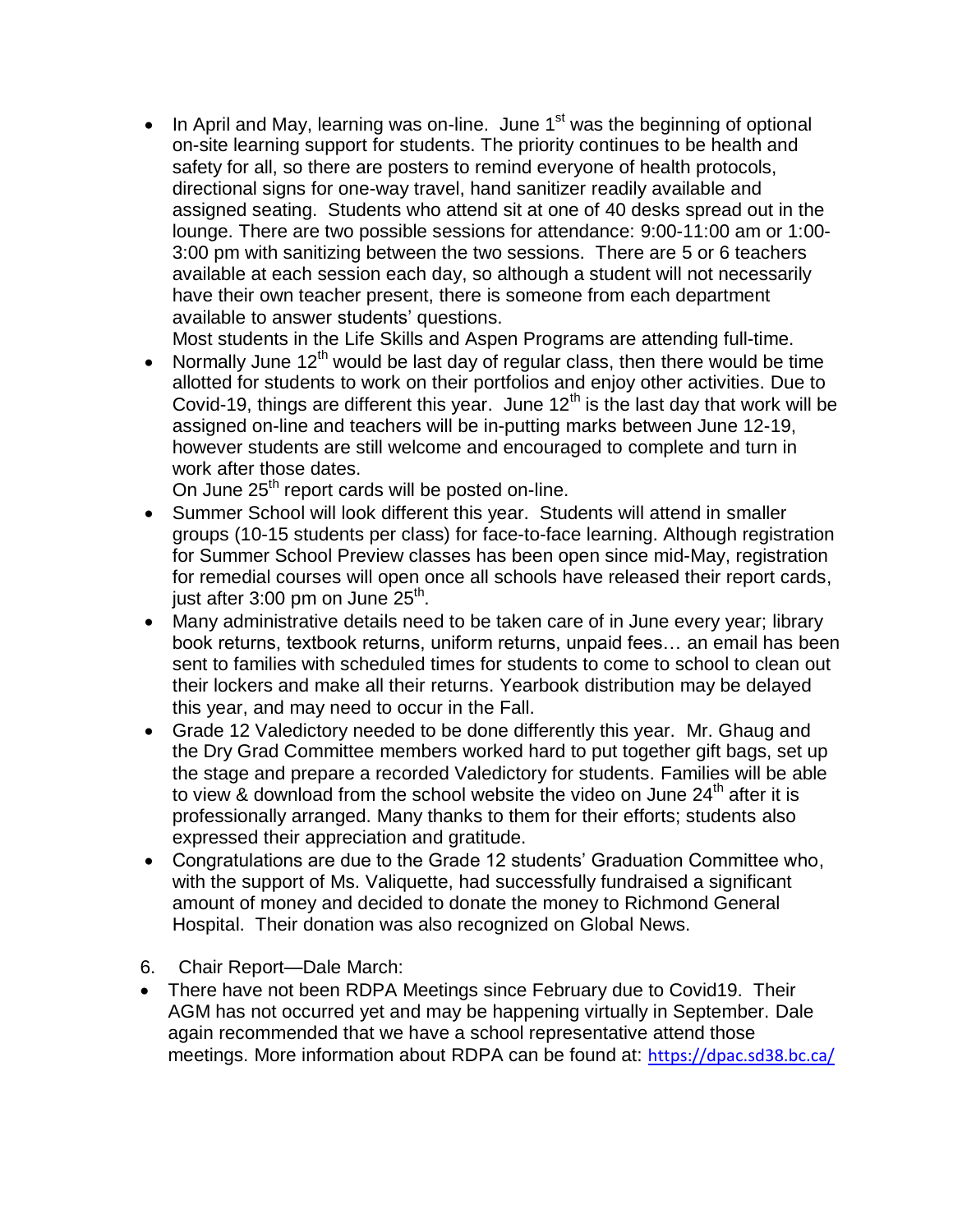In April and May, learning was on-line. June  $1<sup>st</sup>$  was the beginning of optional on-site learning support for students. The priority continues to be health and safety for all, so there are posters to remind everyone of health protocols, directional signs for one-way travel, hand sanitizer readily available and assigned seating. Students who attend sit at one of 40 desks spread out in the lounge. There are two possible sessions for attendance: 9:00-11:00 am or 1:00- 3:00 pm with sanitizing between the two sessions. There are 5 or 6 teachers available at each session each day, so although a student will not necessarily have their own teacher present, there is someone from each department available to answer students' questions.

Most students in the Life Skills and Aspen Programs are attending full-time.

• Normally June  $12<sup>th</sup>$  would be last day of regular class, then there would be time allotted for students to work on their portfolios and enjoy other activities. Due to Covid-19, things are different this year. June  $12<sup>th</sup>$  is the last day that work will be assigned on-line and teachers will be in-putting marks between June 12-19, however students are still welcome and encouraged to complete and turn in work after those dates.

On June 25<sup>th</sup> report cards will be posted on-line.

- Summer School will look different this year. Students will attend in smaller groups (10-15 students per class) for face-to-face learning. Although registration for Summer School Preview classes has been open since mid-May, registration for remedial courses will open once all schools have released their report cards, just after 3:00 pm on June 25<sup>th</sup>.
- Many administrative details need to be taken care of in June every year; library book returns, textbook returns, uniform returns, unpaid fees… an email has been sent to families with scheduled times for students to come to school to clean out their lockers and make all their returns. Yearbook distribution may be delayed this year, and may need to occur in the Fall.
- Grade 12 Valedictory needed to be done differently this year. Mr. Ghaug and the Dry Grad Committee members worked hard to put together gift bags, set up the stage and prepare a recorded Valedictory for students. Families will be able to view & download from the school website the video on June  $24<sup>th</sup>$  after it is professionally arranged. Many thanks to them for their efforts; students also expressed their appreciation and gratitude.
- Congratulations are due to the Grade 12 students' Graduation Committee who, with the support of Ms. Valiquette, had successfully fundraised a significant amount of money and decided to donate the money to Richmond General Hospital. Their donation was also recognized on Global News.
- 6. Chair Report—Dale March:
- There have not been RDPA Meetings since February due to Covid19. Their AGM has not occurred yet and may be happening virtually in September. Dale again recommended that we have a school representative attend those meetings. More information about RDPA can be found at: <https://dpac.sd38.bc.ca/>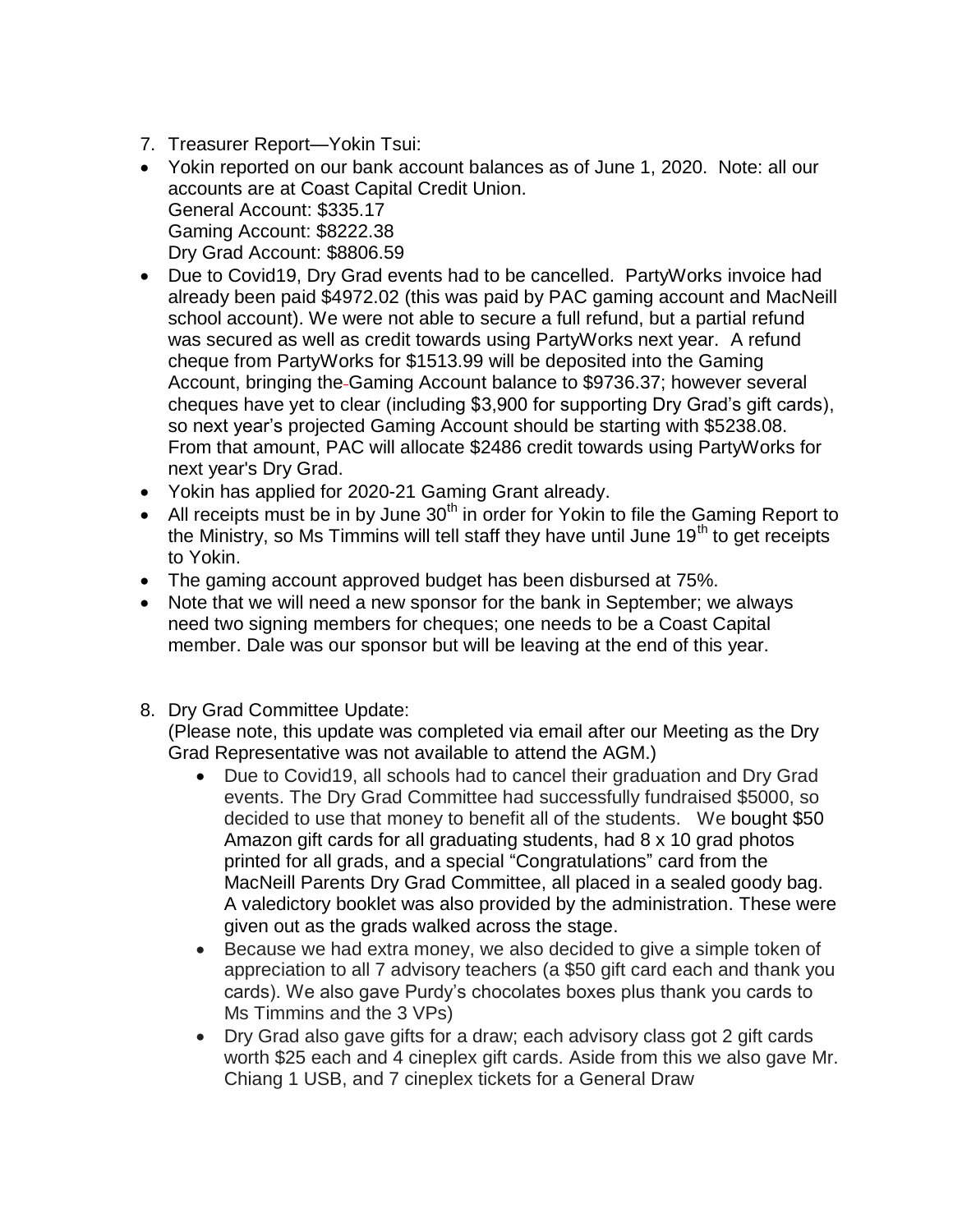- 7. Treasurer Report—Yokin Tsui:
- Yokin reported on our bank account balances as of June 1, 2020. Note: all our accounts are at Coast Capital Credit Union. General Account: \$335.17 Gaming Account: \$8222.38 Dry Grad Account: \$8806.59
- Due to Covid19, Dry Grad events had to be cancelled. PartyWorks invoice had already been paid \$4972.02 (this was paid by PAC gaming account and MacNeill school account). We were not able to secure a full refund, but a partial refund was secured as well as credit towards using PartyWorks next year. A refund cheque from PartyWorks for \$1513.99 will be deposited into the Gaming Account, bringing the Gaming Account balance to \$9736.37; however several cheques have yet to clear (including \$3,900 for supporting Dry Grad's gift cards), so next year's projected Gaming Account should be starting with \$5238.08. From that amount, PAC will allocate \$2486 credit towards using PartyWorks for next year's Dry Grad.
- Yokin has applied for 2020-21 Gaming Grant already.
- $\bullet$  All receipts must be in by June 30<sup>th</sup> in order for Yokin to file the Gaming Report to the Ministry, so Ms Timmins will tell staff they have until June  $19<sup>th</sup>$  to get receipts to Yokin.
- The gaming account approved budget has been disbursed at 75%.
- Note that we will need a new sponsor for the bank in September; we always need two signing members for cheques; one needs to be a Coast Capital member. Dale was our sponsor but will be leaving at the end of this year.
- 8. Dry Grad Committee Update:

(Please note, this update was completed via email after our Meeting as the Dry Grad Representative was not available to attend the AGM.)

- Due to Covid19, all schools had to cancel their graduation and Dry Grad events. The Dry Grad Committee had successfully fundraised \$5000, so decided to use that money to benefit all of the students. We bought \$50 Amazon gift cards for all graduating students, had 8 x 10 grad photos printed for all grads, and a special "Congratulations" card from the MacNeill Parents Dry Grad Committee, all placed in a sealed goody bag. A valedictory booklet was also provided by the administration. These were given out as the grads walked across the stage.
- Because we had extra money, we also decided to give a simple token of appreciation to all 7 advisory teachers (a \$50 gift card each and thank you cards). We also gave Purdy's chocolates boxes plus thank you cards to Ms Timmins and the 3 VPs)
- Dry Grad also gave gifts for a draw; each advisory class got 2 gift cards worth \$25 each and 4 cineplex gift cards. Aside from this we also gave Mr. Chiang 1 USB, and 7 cineplex tickets for a General Draw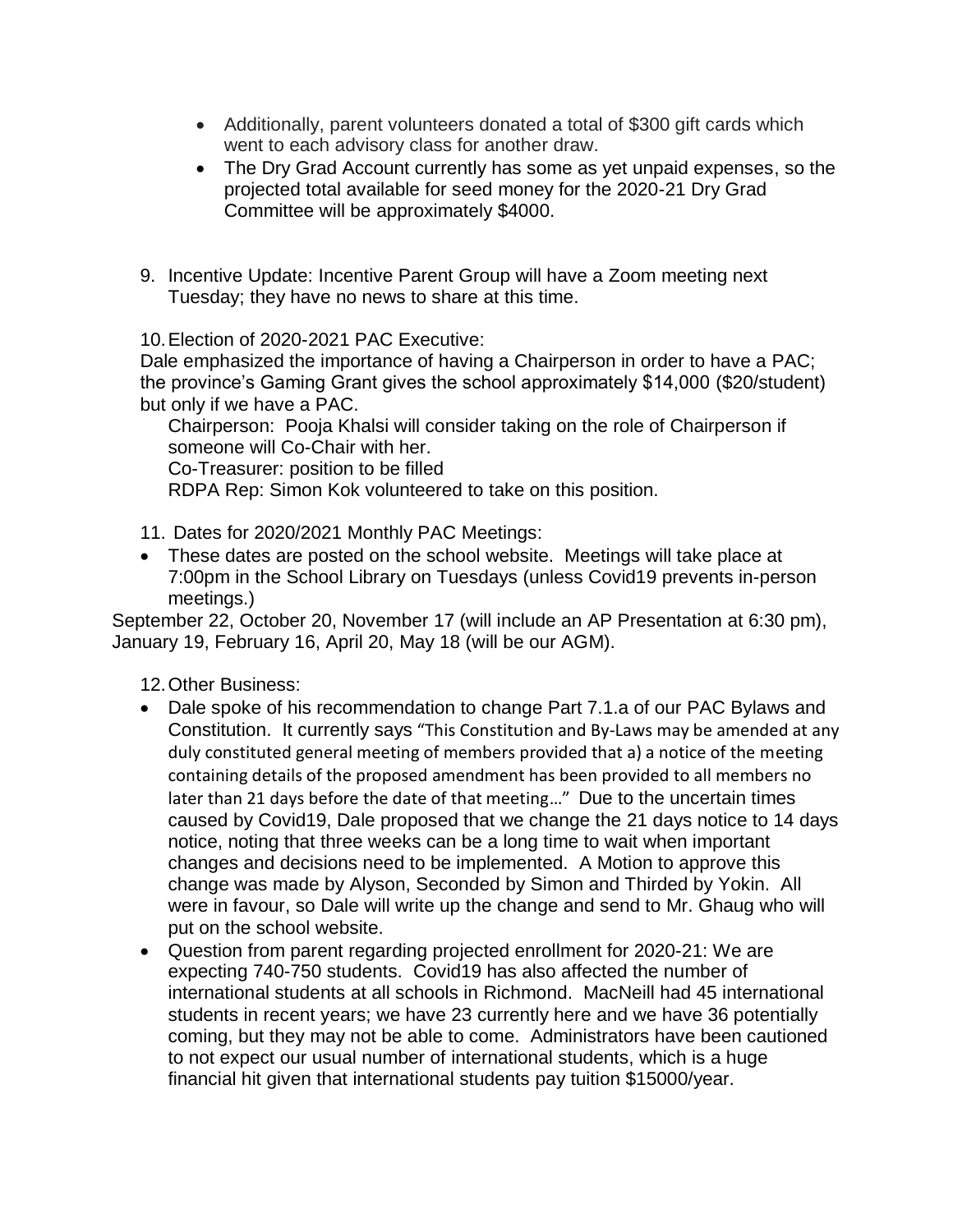- Additionally, parent volunteers donated a total of \$300 gift cards which went to each advisory class for another draw.
- The Dry Grad Account currently has some as yet unpaid expenses, so the projected total available for seed money for the 2020-21 Dry Grad Committee will be approximately \$4000.
- 9. Incentive Update: Incentive Parent Group will have a Zoom meeting next Tuesday; they have no news to share at this time.

10.Election of 2020-2021 PAC Executive:

Dale emphasized the importance of having a Chairperson in order to have a PAC; the province's Gaming Grant gives the school approximately \$14,000 (\$20/student) but only if we have a PAC.

Chairperson: Pooja Khalsi will consider taking on the role of Chairperson if someone will Co-Chair with her.

Co-Treasurer: position to be filled

RDPA Rep: Simon Kok volunteered to take on this position.

- 11. Dates for 2020/2021 Monthly PAC Meetings:
- These dates are posted on the school website. Meetings will take place at 7:00pm in the School Library on Tuesdays (unless Covid19 prevents in-person meetings.)

September 22, October 20, November 17 (will include an AP Presentation at 6:30 pm), January 19, February 16, April 20, May 18 (will be our AGM).

12.Other Business:

- Dale spoke of his recommendation to change Part 7.1.a of our PAC Bylaws and Constitution. It currently says "This Constitution and By-Laws may be amended at any duly constituted general meeting of members provided that a) a notice of the meeting containing details of the proposed amendment has been provided to all members no later than 21 days before the date of that meeting…" Due to the uncertain times caused by Covid19, Dale proposed that we change the 21 days notice to 14 days notice, noting that three weeks can be a long time to wait when important changes and decisions need to be implemented. A Motion to approve this change was made by Alyson, Seconded by Simon and Thirded by Yokin. All were in favour, so Dale will write up the change and send to Mr. Ghaug who will put on the school website.
- Question from parent regarding projected enrollment for 2020-21: We are expecting 740-750 students. Covid19 has also affected the number of international students at all schools in Richmond. MacNeill had 45 international students in recent years; we have 23 currently here and we have 36 potentially coming, but they may not be able to come. Administrators have been cautioned to not expect our usual number of international students, which is a huge financial hit given that international students pay tuition \$15000/year.